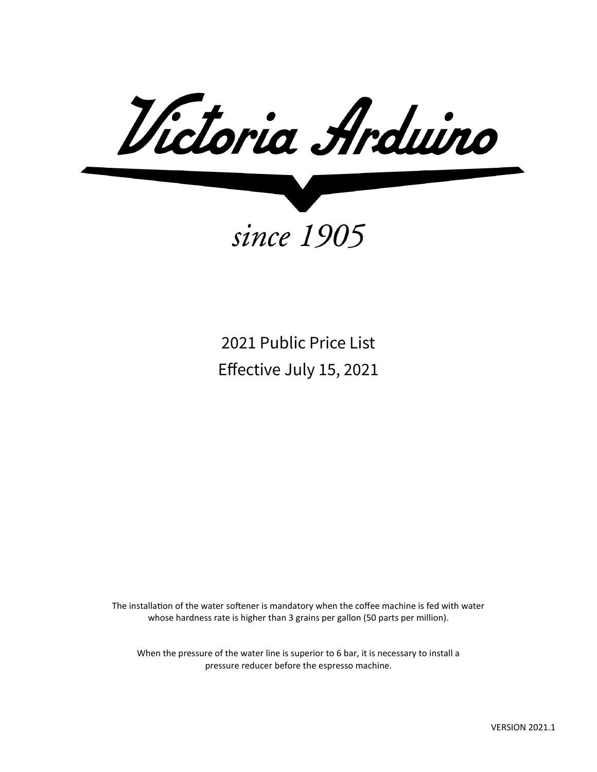Victoria Arduino

since 1905

2021 Public Price List Effective July 15, 2021

The installation of the water softener is mandatory when the coffee machine is fed with water whose hardness rate is higher than 3 grains per gallon (50 parts per million).

When the pressure of the water line is superior to 6 bar, it is necessary to install a pressure reducer before the espresso machine.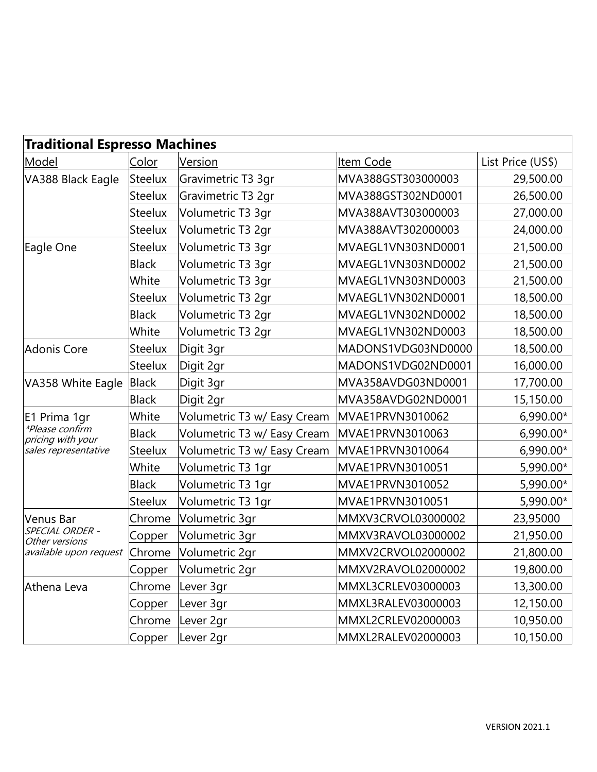| <b>Traditional Espresso Machines</b>                                         |                |                             |                    |                   |  |
|------------------------------------------------------------------------------|----------------|-----------------------------|--------------------|-------------------|--|
| Model                                                                        | Color          | Version                     | Item Code          | List Price (US\$) |  |
| VA388 Black Eagle                                                            | <b>Steelux</b> | Gravimetric T3 3gr          | MVA388GST303000003 | 29,500.00         |  |
|                                                                              | <b>Steelux</b> | Gravimetric T3 2gr          | MVA388GST302ND0001 | 26,500.00         |  |
|                                                                              | Steelux        | Volumetric T3 3gr           | MVA388AVT303000003 | 27,000.00         |  |
|                                                                              | <b>Steelux</b> | Volumetric T3 2gr           | MVA388AVT302000003 | 24,000.00         |  |
| Eagle One                                                                    | Steelux        | Volumetric T3 3gr           | MVAEGL1VN303ND0001 | 21,500.00         |  |
|                                                                              | <b>Black</b>   | Volumetric T3 3gr           | MVAEGL1VN303ND0002 | 21,500.00         |  |
|                                                                              | White          | Volumetric T3 3gr           | MVAEGL1VN303ND0003 | 21,500.00         |  |
|                                                                              | <b>Steelux</b> | Volumetric T3 2gr           | MVAEGL1VN302ND0001 | 18,500.00         |  |
|                                                                              | <b>Black</b>   | Volumetric T3 2gr           | MVAEGL1VN302ND0002 | 18,500.00         |  |
|                                                                              | White          | Volumetric T3 2gr           | MVAEGL1VN302ND0003 | 18,500.00         |  |
| Adonis Core                                                                  | <b>Steelux</b> | Digit 3gr                   | MADONS1VDG03ND0000 | 18,500.00         |  |
|                                                                              | <b>Steelux</b> | Digit 2gr                   | MADONS1VDG02ND0001 | 16,000.00         |  |
| VA358 White Eagle                                                            | <b>Black</b>   | Digit 3gr                   | MVA358AVDG03ND0001 | 17,700.00         |  |
|                                                                              | <b>Black</b>   | Digit 2gr                   | MVA358AVDG02ND0001 | 15,150.00         |  |
| E1 Prima 1gr<br>*Please confirm<br>pricing with your<br>sales representative | White          | Volumetric T3 w/ Easy Cream | MVAE1PRVN3010062   | 6,990.00*         |  |
|                                                                              | <b>Black</b>   | Volumetric T3 w/ Easy Cream | MVAE1PRVN3010063   | 6,990.00*         |  |
|                                                                              | <b>Steelux</b> | Volumetric T3 w/ Easy Cream | MVAE1PRVN3010064   | 6,990.00*         |  |
|                                                                              | White          | Volumetric T3 1gr           | MVAE1PRVN3010051   | 5,990.00*         |  |
|                                                                              | <b>Black</b>   | Volumetric T3 1gr           | MVAE1PRVN3010052   | 5,990.00*         |  |
|                                                                              | <b>Steelux</b> | Volumetric T3 1gr           | MVAE1PRVN3010051   | 5,990.00*         |  |
| <b>Venus Bar</b>                                                             | Chrome         | Volumetric 3gr              | MMXV3CRVOL03000002 | 23,95000          |  |
| SPECIAL ORDER -<br>Other versions                                            | Copper         | Volumetric 3gr              | MMXV3RAVOL03000002 | 21,950.00         |  |
| available upon request                                                       | Chrome         | Volumetric 2gr              | MMXV2CRVOL02000002 | 21,800.00         |  |
|                                                                              | Copper         | Volumetric 2gr              | MMXV2RAVOL02000002 | 19,800.00         |  |
| Athena Leva                                                                  | Chrome         | Lever 3gr                   | MMXL3CRLEV03000003 | 13,300.00         |  |
|                                                                              | Copper         | Lever 3gr                   | MMXL3RALEV03000003 | 12,150.00         |  |
|                                                                              | Chrome         | Lever 2gr                   | MMXL2CRLEV02000003 | 10,950.00         |  |
|                                                                              | Copper         | Lever 2gr                   | MMXL2RALEV02000003 | 10,150.00         |  |